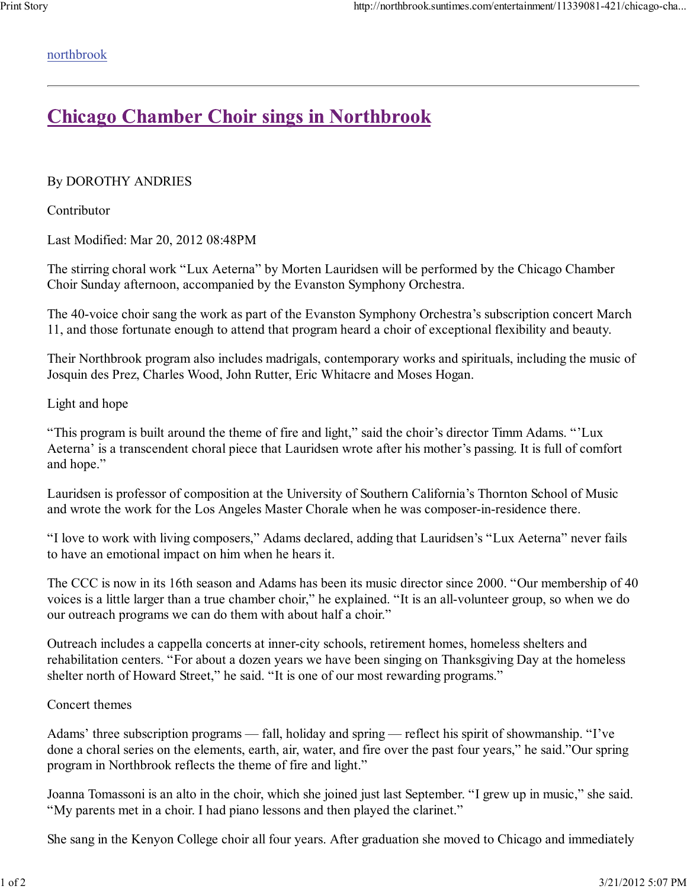## northbrook

## **Chicago Chamber Choir sings in Northbrook**

By DOROTHY ANDRIES

Contributor

Last Modified: Mar 20, 2012 08:48PM

The stirring choral work "Lux Aeterna" by Morten Lauridsen will be performed by the Chicago Chamber Choir Sunday afternoon, accompanied by the Evanston Symphony Orchestra.

The 40-voice choir sang the work as part of the Evanston Symphony Orchestra's subscription concert March 11, and those fortunate enough to attend that program heard a choir of exceptional flexibility and beauty.

Their Northbrook program also includes madrigals, contemporary works and spirituals, including the music of Josquin des Prez, Charles Wood, John Rutter, Eric Whitacre and Moses Hogan.

## Light and hope

"This program is built around the theme of fire and light," said the choir's director Timm Adams. "'Lux Aeterna' is a transcendent choral piece that Lauridsen wrote after his mother's passing. It is full of comfort and hope."

Lauridsen is professor of composition at the University of Southern California's Thornton School of Music and wrote the work for the Los Angeles Master Chorale when he was composer-in-residence there.

"I love to work with living composers," Adams declared, adding that Lauridsen's "Lux Aeterna" never fails to have an emotional impact on him when he hears it.

The CCC is now in its 16th season and Adams has been its music director since 2000. "Our membership of 40 voices is a little larger than a true chamber choir," he explained. "It is an all-volunteer group, so when we do our outreach programs we can do them with about half a choir."

Outreach includes a cappella concerts at inner-city schools, retirement homes, homeless shelters and rehabilitation centers. "For about a dozen years we have been singing on Thanksgiving Day at the homeless shelter north of Howard Street," he said. "It is one of our most rewarding programs."

## Concert themes

Adams' three subscription programs — fall, holiday and spring — reflect his spirit of showmanship. "I've done a choral series on the elements, earth, air, water, and fire over the past four years," he said."Our spring program in Northbrook reflects the theme of fire and light."

Joanna Tomassoni is an alto in the choir, which she joined just last September. "I grew up in music," she said. "My parents met in a choir. I had piano lessons and then played the clarinet."

She sang in the Kenyon College choir all four years. After graduation she moved to Chicago and immediately